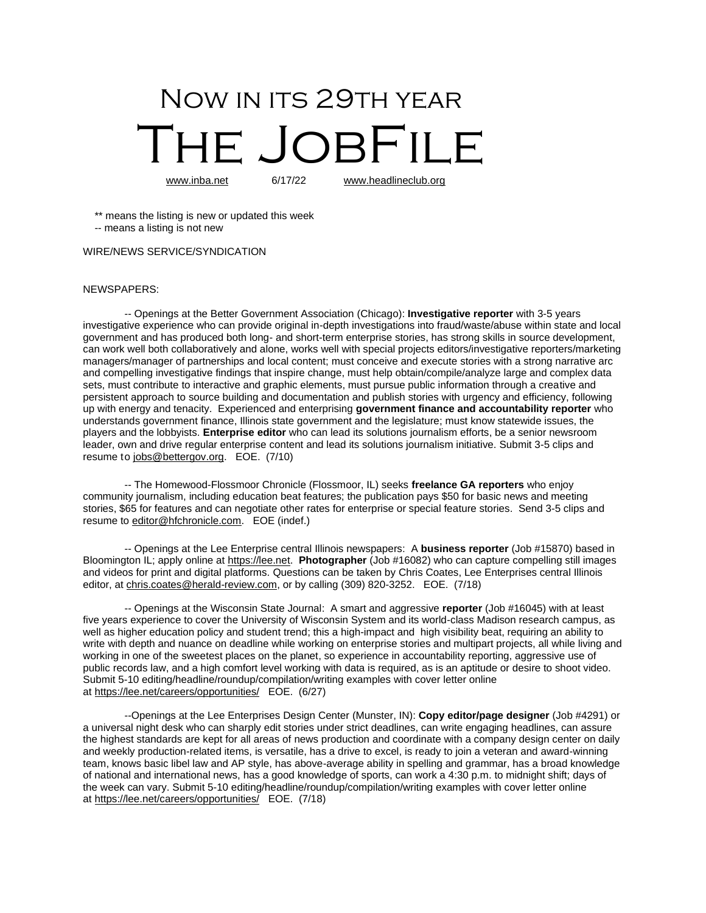# Now in its 29th year HE JOBF

www.inba.net 6/17/22 [www.headlineclub.org](http://www.headlineclub.org/)

\*\* means the listing is new or updated this week -- means a listing is not new

WIRE/NEWS SERVICE/SYNDICATION

## NEWSPAPERS:

-- Openings at the Better Government Association (Chicago): **Investigative reporter** with 3-5 years investigative experience who can provide original in-depth investigations into fraud/waste/abuse within state and local government and has produced both long- and short-term enterprise stories, has strong skills in source development, can work well both collaboratively and alone, works well with special projects editors/investigative reporters/marketing managers/manager of partnerships and local content; must conceive and execute stories with a strong narrative arc and compelling investigative findings that inspire change, must help obtain/compile/analyze large and complex data sets, must contribute to interactive and graphic elements, must pursue public information through a creative and persistent approach to source building and documentation and publish stories with urgency and efficiency, following up with energy and tenacity. Experienced and enterprising **government finance and accountability reporter** who understands government finance, Illinois state government and the legislature; must know statewide issues, the players and the lobbyists. **Enterprise editor** who can lead its solutions journalism efforts, be a senior newsroom leader, own and drive regular enterprise content and lead its solutions journalism initiative. Submit 3-5 clips and resume t[o jobs@bettergov.org.](mailto:jobs@bettergov.org) EOE. (7/10)

-- The Homewood-Flossmoor Chronicle (Flossmoor, IL) seeks **freelance GA reporters** who enjoy community journalism, including education beat features; the publication pays \$50 for basic news and meeting stories, \$65 for features and can negotiate other rates for enterprise or special feature stories. Send 3-5 clips and resume t[o editor@hfchronicle.com.](mailto:editor@hfchronicle.com) EOE (indef.)

-- Openings at the Lee Enterprise central Illinois newspapers: A **business reporter** (Job #15870) based in Bloomington IL; apply online at [https://lee.net.](https://lee.net/) **Photographer** (Job #16082) who can capture compelling still images and videos for print and digital platforms. Questions can be taken by Chris Coates, Lee Enterprises central Illinois editor, a[t chris.coates@herald-review.com,](mailto:chris.coates@herald-review.com) or by calling (309) 820-3252. EOE. (7/18)

-- Openings at the Wisconsin State Journal: A smart and aggressive **reporter** (Job #16045) with at least five years experience to cover the University of Wisconsin System and its world-class Madison research campus, as well as higher education policy and student trend; this a high-impact and high visibility beat, requiring an ability to write with depth and nuance on deadline while working on enterprise stories and multipart projects, all while living and working in one of the sweetest places on the planet, so experience in accountability reporting, aggressive use of public records law, and a high comfort level working with data is required, as is an aptitude or desire to shoot video. Submit 5-10 editing/headline/roundup/compilation/writing examples with cover letter online at <https://lee.net/careers/opportunities/>EOE. (6/27)

--Openings at the Lee Enterprises Design Center (Munster, IN): **Copy editor/page designer** (Job #4291) or a universal night desk who can sharply edit stories under strict deadlines, can write engaging headlines, can assure the highest standards are kept for all areas of news production and coordinate with a company design center on daily and weekly production-related items, is versatile, has a drive to excel, is ready to join a veteran and award-winning team, knows basic libel law and AP style, has above-average ability in spelling and grammar, has a broad knowledge of national and international news, has a good knowledge of sports, can work a 4:30 p.m. to midnight shift; days of the week can vary. Submit 5-10 editing/headline/roundup/compilation/writing examples with cover letter online at <https://lee.net/careers/opportunities/>EOE. (7/18)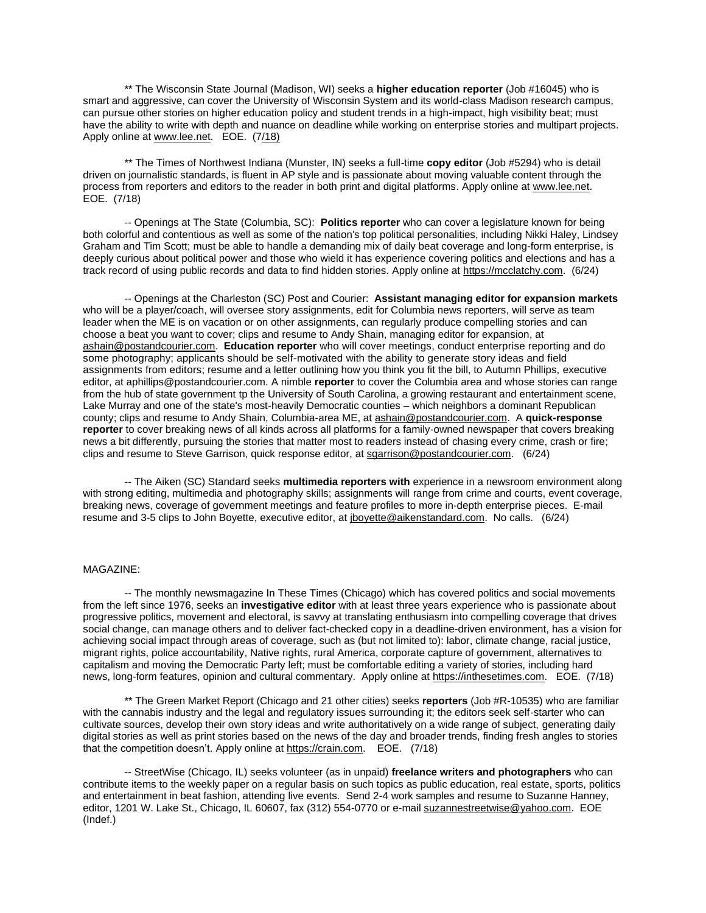\*\* The Wisconsin State Journal (Madison, WI) seeks a **higher education reporter** (Job #16045) who is smart and aggressive, can cover the University of Wisconsin System and its world-class Madison research campus, can pursue other stories on higher education policy and student trends in a high-impact, high visibility beat; must have the ability to write with depth and nuance on deadline while working on enterprise stories and multipart projects. Apply online a[t www.lee.net.](http://www.lee.net/) EOE. (7/18)

\*\* The Times of Northwest Indiana (Munster, IN) seeks a full-time **copy editor** (Job #5294) who is detail driven on journalistic standards, is fluent in AP style and is passionate about moving valuable content through the process from reporters and editors to the reader in both print and digital platforms. Apply online at [www.lee.net.](http://www.lee.net/) EOE. (7/18)

-- Openings at The State (Columbia, SC): **Politics reporter** who can cover a legislature known for being both colorful and contentious as well as some of the nation's top political personalities, including Nikki Haley, Lindsey Graham and Tim Scott; must be able to handle a demanding mix of daily beat coverage and long-form enterprise, is deeply curious about political power and those who wield it has experience covering politics and elections and has a track record of using public records and data to find hidden stories. Apply online a[t https://mcclatchy.com.](https://mcclatchy.com/) (6/24)

-- Openings at the Charleston (SC) Post and Courier: **Assistant managing editor for expansion markets**  who will be a player/coach, will oversee story assignments, edit for Columbia news reporters, will serve as team leader when the ME is on vacation or on other assignments, can regularly produce compelling stories and can choose a beat you want to cover; clips and resume to Andy Shain, managing editor for expansion, at [ashain@postandcourier.com.](mailto:ashain@postandcourier.com) **Education reporter** who will cover meetings, conduct enterprise reporting and do some photography; applicants should be self-motivated with the ability to generate story ideas and field assignments from editors; resume and a letter outlining how you think you fit the bill, to Autumn Phillips, executive editor, at [aphillips@postandcourier.com.](mailto:aphillips@postandcourier.com) A nimble **reporter** to cover the Columbia area and whose stories can range from the hub of state government tp the University of South Carolina, a growing restaurant and entertainment scene, Lake Murray and one of the state's most-heavily Democratic counties – which neighbors a dominant Republican county; clips and resume to Andy Shain, Columbia-area ME, at [ashain@postandcourier.com.](mailto:ashain@postandcourier.com) A **quick-response reporter** to cover breaking news of all kinds across all platforms for a family-owned newspaper that covers breaking news a bit differently, pursuing the stories that matter most to readers instead of chasing every crime, crash or fire; clips and resume to Steve Garrison, quick response editor, at [sgarrison@postandcourier.com.](mailto:sgarrison@postandcourier.com) (6/24)

-- The Aiken (SC) Standard seeks **multimedia reporters with** experience in a newsroom environment along with strong editing, multimedia and photography skills; assignments will range from crime and courts, event coverage, breaking news, coverage of government meetings and feature profiles to more in-depth enterprise pieces. E-mail resume and 3-5 clips to John Boyette, executive editor, at [jboyette@aikenstandard.com.](mailto:jboyette@aikenstandard.com) No calls. (6/24)

# MAGAZINE:

-- The monthly newsmagazine In These Times (Chicago) which has covered politics and social movements from the left since 1976, seeks an **investigative editor** with at least three years experience who is passionate about progressive politics, movement and electoral, is savvy at translating enthusiasm into compelling coverage that drives social change, can manage others and to deliver fact-checked copy in a deadline-driven environment, has a vision for achieving social impact through areas of coverage, such as (but not limited to): labor, climate change, racial justice, migrant rights, police accountability, Native rights, rural America, corporate capture of government, alternatives to capitalism and moving the Democratic Party left; must be comfortable editing a variety of stories, including hard news, long-form features, opinion and cultural commentary. Apply online at [https://inthesetimes.com.](https://inthesetimes.com/) EOE. (7/18)

\*\* The Green Market Report (Chicago and 21 other cities) seeks **reporters** (Job #R-10535) who are familiar with the cannabis industry and the legal and regulatory issues surrounding it; the editors seek self-starter who can cultivate sources, develop their own story ideas and write authoritatively on a wide range of subject, generating daily digital stories as well as print stories based on the news of the day and broader trends, finding fresh angles to stories that the competition doesn't. Apply online a[t https://crain.com.](https://crain.com/) EOE. (7/18)

-- StreetWise (Chicago, IL) seeks volunteer (as in unpaid) **freelance writers and photographers** who can contribute items to the weekly paper on a regular basis on such topics as public education, real estate, sports, politics and entertainment in beat fashion, attending live events. Send 2-4 work samples and resume to Suzanne Hanney, editor, 1201 W. Lake St., Chicago, IL 60607, fax (312) 554-0770 or e-mai[l suzannestreetwise@yahoo.com.](mailto:suzannestreetwise@yahoo.com) EOE (Indef.)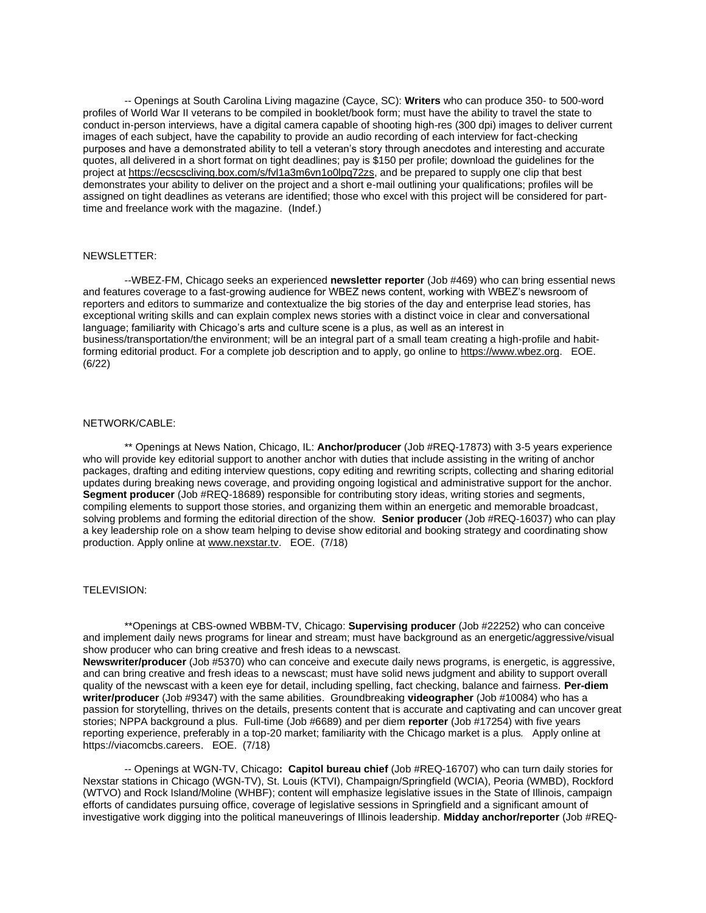-- Openings at South Carolina Living magazine (Cayce, SC): **Writers** who can produce 350- to 500-word profiles of World War II veterans to be compiled in booklet/book form; must have the ability to travel the state to conduct in-person interviews, have a digital camera capable of shooting high-res (300 dpi) images to deliver current images of each subject, have the capability to provide an audio recording of each interview for fact-checking purposes and have a demonstrated ability to tell a veteran's story through anecdotes and interesting and accurate quotes, all delivered in a short format on tight deadlines; pay is \$150 per profile; download the guidelines for the project a[t https://ecscscliving.box.com/s/fvl1a3m6vn1o0lpq72zs,](https://ecscscliving.box.com/s/fvl1a3m6vn1o0lpq72zs) and be prepared to supply one clip that best demonstrates your ability to deliver on the project and a short e-mail outlining your qualifications; profiles will be assigned on tight deadlines as veterans are identified; those who excel with this project will be considered for parttime and freelance work with the magazine. (Indef.)

#### NEWSLETTER:

--WBEZ-FM, Chicago seeks an experienced **newsletter reporter** (Job #469) who can bring essential news and features coverage to a fast-growing audience for WBEZ news content, working with WBEZ's newsroom of reporters and editors to summarize and contextualize the big stories of the day and enterprise lead stories, has exceptional writing skills and can explain complex news stories with a distinct voice in clear and conversational language; familiarity with Chicago's arts and culture scene is a plus, as well as an interest in business/transportation/the environment; will be an integral part of a small team creating a high-profile and habitforming editorial product. For a complete job description and to apply, go online to [https://www.wbez.org.](https://www.wbez.org/) EOE. (6/22)

#### NETWORK/CABLE:

\*\* Openings at News Nation, Chicago, IL: **Anchor/producer** (Job #REQ-17873) with 3-5 years experience who will provide key editorial support to another anchor with duties that include assisting in the writing of anchor packages, drafting and editing interview questions, copy editing and rewriting scripts, collecting and sharing editorial updates during breaking news coverage, and providing ongoing logistical and administrative support for the anchor. **Segment producer** (Job #REQ-18689) responsible for contributing story ideas, writing stories and segments, compiling elements to support those stories, and organizing them within an energetic and memorable broadcast, solving problems and forming the editorial direction of the show. **Senior producer** (Job #REQ-16037) who can play a key leadership role on a show team helping to devise show editorial and booking strategy and coordinating show production. Apply online a[t www.nexstar.tv.](http://www.nexstar.tv/) EOE. (7/18)

## TELEVISION:

\*\*Openings at CBS-owned WBBM-TV, Chicago: **Supervising producer** (Job #22252) who can conceive and implement daily news programs for linear and stream; must have background as an energetic/aggressive/visual show producer who can bring creative and fresh ideas to a newscast.

**Newswriter/producer** (Job #5370) who can conceive and execute daily news programs, is energetic, is aggressive, and can bring creative and fresh ideas to a newscast; must have solid news judgment and ability to support overall quality of the newscast with a keen eye for detail, including spelling, fact checking, balance and fairness. **Per-diem writer/producer** (Job #9347) with the same abilities. Groundbreaking **videographer** (Job #10084) who has a passion for storytelling, thrives on the details, presents content that is accurate and captivating and can uncover great stories; NPPA background a plus. Full-time (Job #6689) and per diem **reporter** (Job #17254) with five years reporting experience, preferably in a top-20 market; familiarity with the Chicago market is a plus*.* Apply online at [https://viacomcbs.careers.](https://viacomcbs.careers/) EOE. (7/18)

-- Openings at WGN-TV, Chicago**: Capitol bureau chief** (Job #REQ-16707) who can turn daily stories for Nexstar stations in Chicago (WGN-TV), St. Louis (KTVI), Champaign/Springfield (WCIA), Peoria (WMBD), Rockford (WTVO) and Rock Island/Moline (WHBF); content will emphasize legislative issues in the State of Illinois, campaign efforts of candidates pursuing office, coverage of legislative sessions in Springfield and a significant amount of investigative work digging into the political maneuverings of Illinois leadership. **Midday anchor/reporter** (Job #REQ-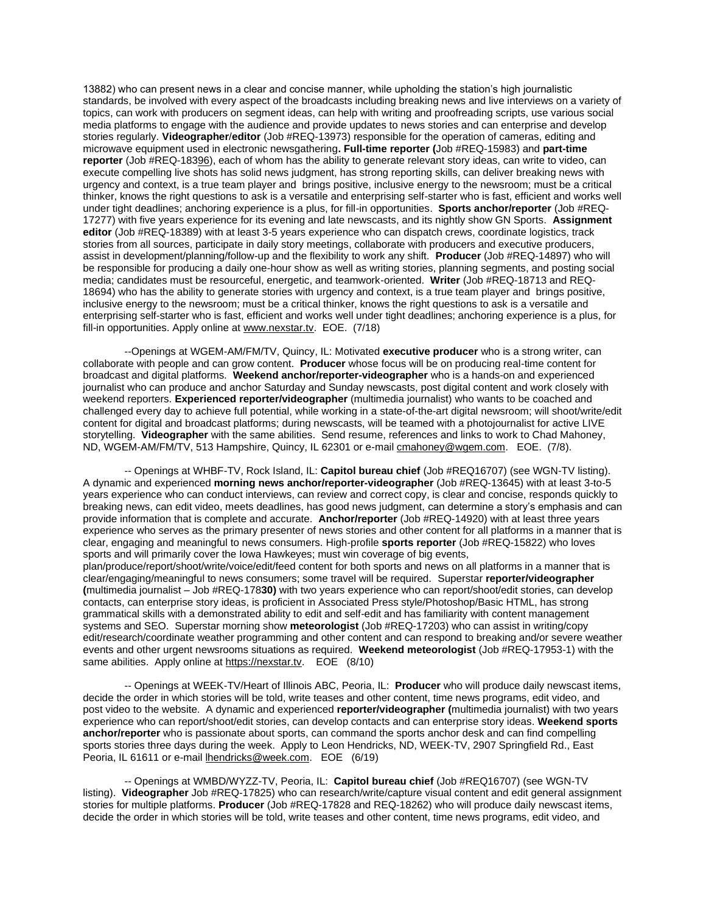13882) who can present news in a clear and concise manner, while upholding the station's high journalistic standards, be involved with every aspect of the broadcasts including breaking news and live interviews on a variety of topics, can work with producers on segment ideas, can help with writing and proofreading scripts, use various social media platforms to engage with the audience and provide updates to news stories and can enterprise and develop stories regularly. **Videographer**/**editor** (Job #REQ-13973) responsible for the operation of cameras, editing and microwave equipment used in electronic newsgathering**. Full-time reporter (**Job #REQ-15983) and **part-time reporter** (Job #REQ-18396), each of whom has the ability to generate relevant story ideas, can write to video, can execute compelling live shots has solid news judgment, has strong reporting skills, can deliver breaking news with urgency and context, is a true team player and brings positive, inclusive energy to the newsroom; must be a critical thinker, knows the right questions to ask is a versatile and enterprising self-starter who is fast, efficient and works well under tight deadlines; anchoring experience is a plus, for fill-in opportunities. **Sports anchor/reporter** (Job #REQ-17277) with five years experience for its evening and late newscasts, and its nightly show GN Sports. **Assignment editor** (Job #REQ-18389) with at least 3-5 years experience who can dispatch crews, coordinate logistics, track stories from all sources, participate in daily story meetings, collaborate with producers and executive producers, assist in development/planning/follow-up and the flexibility to work any shift. **Producer** (Job #REQ-14897) who will be responsible for producing a daily one-hour show as well as writing stories, planning segments, and posting social media; candidates must be resourceful, energetic, and teamwork-oriented. **Writer** (Job #REQ-18713 and REQ-18694) who has the ability to generate stories with urgency and context, is a true team player and brings positive, inclusive energy to the newsroom; must be a critical thinker, knows the right questions to ask is a versatile and enterprising self-starter who is fast, efficient and works well under tight deadlines; anchoring experience is a plus, for fill-in opportunities. Apply online at [www.nexstar.tv.](http://www.nexstar.tv/) EOE. (7/18)

--Openings at WGEM-AM/FM/TV, Quincy, IL: Motivated **executive producer** who is a strong writer, can collaborate with people and can grow content. **Producer** whose focus will be on producing real-time content for broadcast and digital platforms. **Weekend anchor/reporter-videographer** who is a hands-on and experienced journalist who can produce and anchor Saturday and Sunday newscasts, post digital content and work closely with weekend reporters. **Experienced reporter/videographer** (multimedia journalist) who wants to be coached and challenged every day to achieve full potential, while working in a state-of-the-art digital newsroom; will shoot/write/edit content for digital and broadcast platforms; during newscasts, will be teamed with a photojournalist for active LIVE storytelling. **Videographer** with the same abilities. Send resume, references and links to work to Chad Mahoney, ND, WGEM-AM/FM/TV, 513 Hampshire, Quincy, IL 62301 or e-mail [cmahoney@wgem.com.](mailto:cmahoney@wgem.com) EOE. (7/8).

-- Openings at WHBF-TV, Rock Island, IL: **Capitol bureau chief** (Job #REQ16707) (see WGN-TV listing). A dynamic and experienced **morning news anchor/reporter-videographer** (Job #REQ-13645) with at least 3-to-5 years experience who can conduct interviews, can review and correct copy, is clear and concise, responds quickly to breaking news, can edit video, meets deadlines, has good news judgment, can determine a story's emphasis and can provide information that is complete and accurate. **Anchor/reporter** (Job #REQ-14920) with at least three years experience who serves as the primary presenter of news stories and other content for all platforms in a manner that is clear, engaging and meaningful to news consumers. High-profile **sports reporter** (Job #REQ-15822) who loves sports and will primarily cover the Iowa Hawkeyes; must win coverage of big events, plan/produce/report/shoot/write/voice/edit/feed content for both sports and news on all platforms in a manner that is clear/engaging/meaningful to news consumers; some travel will be required. Superstar **reporter/videographer (**multimedia journalist – Job #REQ-178**30)** with two years experience who can report/shoot/edit stories, can develop contacts, can enterprise story ideas, is proficient in Associated Press style/Photoshop/Basic HTML, has strong grammatical skills with a demonstrated ability to edit and self-edit and has familiarity with content management systems and SEO. Superstar morning show **meteorologist** (Job #REQ-17203) who can assist in writing/copy edit/research/coordinate weather programming and other content and can respond to breaking and/or severe weather events and other urgent newsrooms situations as required. **Weekend meteorologist** (Job #REQ-17953-1) with the same abilities. Apply online a[t https://nexstar.tv.](https://nexstar.tv/) EOE (8/10)

-- Openings at WEEK-TV/Heart of Illinois ABC, Peoria, IL: **Producer** who will produce daily newscast items, decide the order in which stories will be told, write teases and other content, time news programs, edit video, and post video to the website. A dynamic and experienced **reporter/videographer (**multimedia journalist) with two years experience who can report/shoot/edit stories, can develop contacts and can enterprise story ideas. **Weekend sports anchor/reporter** who is passionate about sports, can command the sports anchor desk and can find compelling sports stories three days during the week. Apply to Leon Hendricks, ND, WEEK-TV, 2907 Springfield Rd., East Peoria, IL 61611 or e-mail [lhendricks@week.com.](mailto:lhendricks@week.com) EOE (6/19)

-- Openings at WMBD/WYZZ-TV, Peoria, IL: **Capitol bureau chief** (Job #REQ16707) (see WGN-TV listing). **Videographer** Job #REQ-17825) who can research/write/capture visual content and edit general assignment stories for multiple platforms. **Producer** (Job #REQ-17828 and REQ-18262) who will produce daily newscast items, decide the order in which stories will be told, write teases and other content, time news programs, edit video, and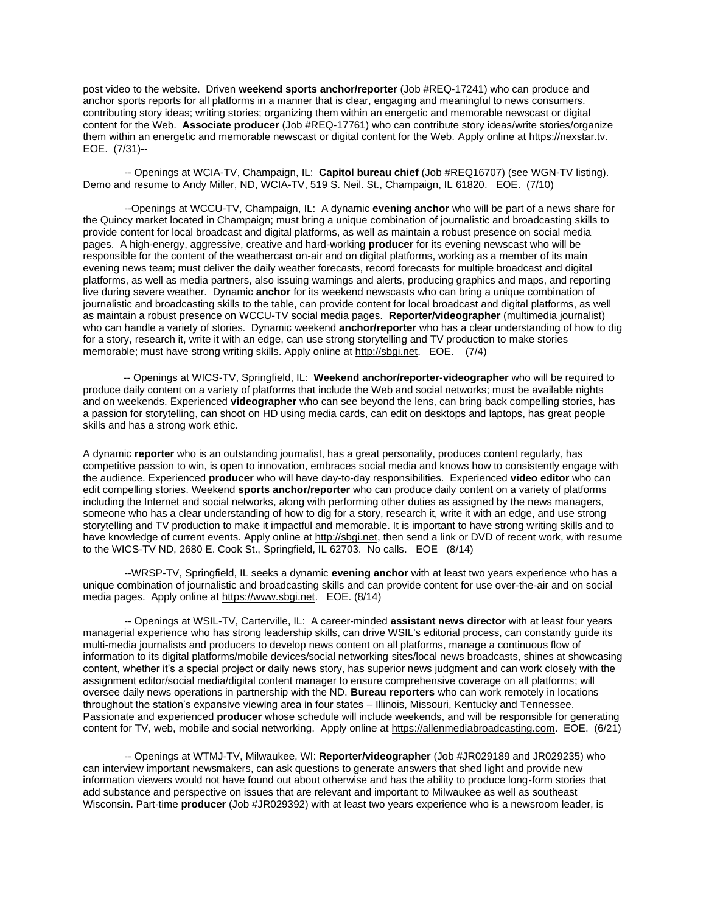post video to the website. Driven **weekend sports anchor/reporter** (Job #REQ-17241) who can produce and anchor sports reports for all platforms in a manner that is clear, engaging and meaningful to news consumers. contributing story ideas; writing stories; organizing them within an energetic and memorable newscast or digital content for the Web. **Associate producer** (Job #REQ-17761) who can contribute story ideas/write stories/organize them within an energetic and memorable newscast or digital content for the Web. Apply online a[t https://nexstar.tv.](https://nexstar.tv/) EOE. (7/31)--

-- Openings at WCIA-TV, Champaign, IL: **Capitol bureau chief** (Job #REQ16707) (see WGN-TV listing). Demo and resume to Andy Miller, ND, WCIA-TV, 519 S. Neil. St., Champaign, IL 61820. EOE. (7/10)

--Openings at WCCU-TV, Champaign, IL: A dynamic **evening anchor** who will be part of a news share for the Quincy market located in Champaign; must bring a unique combination of journalistic and broadcasting skills to provide content for local broadcast and digital platforms, as well as maintain a robust presence on social media pages. A high-energy, aggressive, creative and hard-working **producer** for its evening newscast who will be responsible for the content of the weathercast on-air and on digital platforms, working as a member of its main evening news team; must deliver the daily weather forecasts, record forecasts for multiple broadcast and digital platforms, as well as media partners, also issuing warnings and alerts, producing graphics and maps, and reporting live during severe weather. Dynamic **anchor** for its weekend newscasts who can bring a unique combination of journalistic and broadcasting skills to the table, can provide content for local broadcast and digital platforms, as well as maintain a robust presence on WCCU-TV social media pages. **Reporter/videographer** (multimedia journalist) who can handle a variety of stories. Dynamic weekend **anchor/reporter** who has a clear understanding of how to dig for a story, research it, write it with an edge, can use strong storytelling and TV production to make stories memorable; must have strong writing skills. Apply online at [http://sbgi.net.](http://sbgi.net/) EOE. (7/4)

 -- Openings at WICS-TV, Springfield, IL: **Weekend anchor/reporter-videographer** who will be required to produce daily content on a variety of platforms that include the Web and social networks; must be available nights and on weekends. Experienced **videographer** who can see beyond the lens, can bring back compelling stories, has a passion for storytelling, can shoot on HD using media cards, can edit on desktops and laptops, has great people skills and has a strong work ethic.

A dynamic **reporter** who is an outstanding journalist, has a great personality, produces content regularly, has competitive passion to win, is open to innovation, embraces social media and knows how to consistently engage with the audience. Experienced **producer** who will have day-to-day responsibilities. Experienced **video editor** who can edit compelling stories. Weekend **sports anchor/reporter** who can produce daily content on a variety of platforms including the Internet and social networks, along with performing other duties as assigned by the news managers, someone who has a clear understanding of how to dig for a story, research it, write it with an edge, and use strong storytelling and TV production to make it impactful and memorable. It is important to have strong writing skills and to have knowledge of current events. Apply online at [http://sbgi.net,](http://sbgi.net/) then send a link or DVD of recent work, with resume to the WICS-TV ND, 2680 E. Cook St., Springfield, IL 62703. No calls. EOE (8/14)

--WRSP-TV, Springfield, IL seeks a dynamic **evening anchor** with at least two years experience who has a unique combination of journalistic and broadcasting skills and can provide content for use over-the-air and on social media pages. Apply online a[t https://www.sbgi.net.](https://www.sbgi.net/) EOE. (8/14)

-- Openings at WSIL-TV, Carterville, IL: A career-minded **assistant news director** with at least four years managerial experience who has strong leadership skills, can drive WSIL's editorial process, can constantly guide its multi-media journalists and producers to develop news content on all platforms, manage a continuous flow of information to its digital platforms/mobile devices/social networking sites/local news broadcasts, shines at showcasing content, whether it's a special project or daily news story, has superior news judgment and can work closely with the assignment editor/social media/digital content manager to ensure comprehensive coverage on all platforms; will oversee daily news operations in partnership with the ND. **Bureau reporters** who can work remotely in locations throughout the station's expansive viewing area in four states – Illinois, Missouri, Kentucky and Tennessee. Passionate and experienced **producer** whose schedule will include weekends, and will be responsible for generating content for TV, web, mobile and social networking. Apply online a[t https://allenmediabroadcasting.com.](https://allenmediabroadcasting.com/) EOE. (6/21)

-- Openings at WTMJ-TV, Milwaukee, WI: **Reporter/videographer** (Job #JR029189 and JR029235) who can interview important newsmakers, can ask questions to generate answers that shed light and provide new information viewers would not have found out about otherwise and has the ability to produce long-form stories that add substance and perspective on issues that are relevant and important to Milwaukee as well as southeast Wisconsin. Part-time **producer** (Job #JR029392) with at least two years experience who is a newsroom leader, is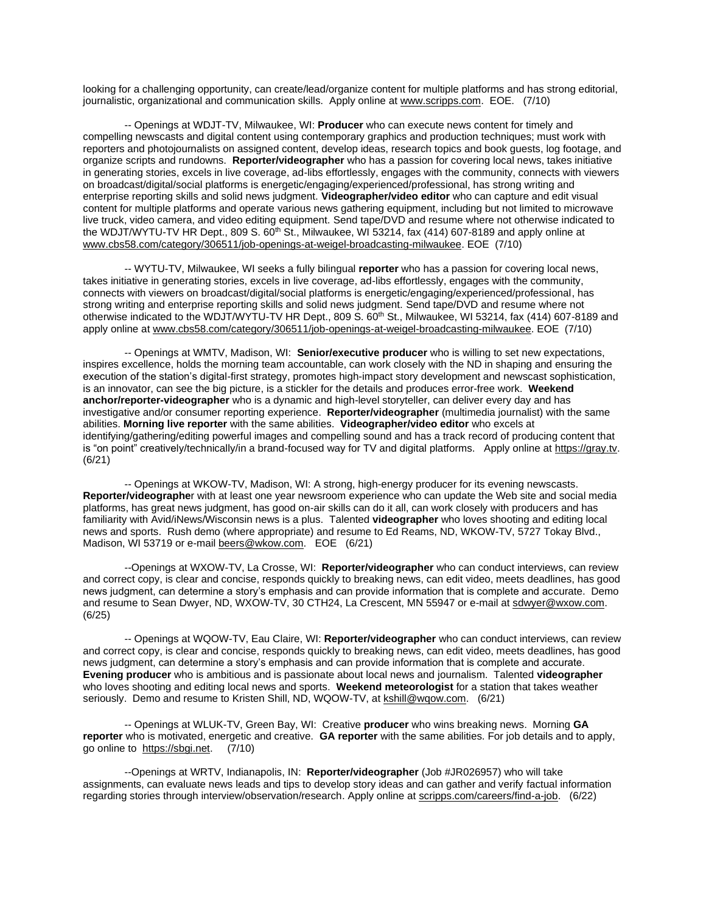looking for a challenging opportunity, can create/lead/organize content for multiple platforms and has strong editorial, journalistic, organizational and communication skills. Apply online at [www.scripps.com.](http://www.scripps.com/) EOE. (7/10)

-- Openings at WDJT-TV, Milwaukee, WI: **Producer** who can execute news content for timely and compelling newscasts and digital content using contemporary graphics and production techniques; must work with reporters and photojournalists on assigned content, develop ideas, research topics and book guests, log footage, and organize scripts and rundowns. **Reporter/videographer** who has a passion for covering local news, takes initiative in generating stories, excels in live coverage, ad-libs effortlessly, engages with the community, connects with viewers on broadcast/digital/social platforms is energetic/engaging/experienced/professional, has strong writing and enterprise reporting skills and solid news judgment. **Videographer/video editor** who can capture and edit visual content for multiple platforms and operate various news gathering equipment, including but not limited to microwave live truck, video camera, and video editing equipment. Send tape/DVD and resume where not otherwise indicated to the WDJT/WYTU-TV HR Dept., 809 S. 60<sup>th</sup> St., Milwaukee, WI 53214, fax (414) 607-8189 and apply online at www.cbs58.com/category/306511/job-openings-at-weigel-broadcasting-milwaukee. EOE (7/10)

-- WYTU-TV, Milwaukee, WI seeks a fully bilingual **reporter** who has a passion for covering local news, takes initiative in generating stories, excels in live coverage, ad-libs effortlessly, engages with the community, connects with viewers on broadcast/digital/social platforms is energetic/engaging/experienced/professional, has strong writing and enterprise reporting skills and solid news judgment. Send tape/DVD and resume where not otherwise indicated to the WDJT/WYTU-TV HR Dept., 809 S. 60<sup>th</sup> St., Milwaukee, WI 53214, fax (414) 607-8189 and apply online at www.cbs58.com/category/306511/job-openings-at-weigel-broadcasting-milwaukee. EOE (7/10)

-- Openings at WMTV, Madison, WI: **Senior/executive producer** who is willing to set new expectations, inspires excellence, holds the morning team accountable, can work closely with the ND in shaping and ensuring the execution of the station's digital-first strategy, promotes high-impact story development and newscast sophistication, is an innovator, can see the big picture, is a stickler for the details and produces error-free work. **Weekend anchor/reporter-videographer** who is a dynamic and high-level storyteller, can deliver every day and has investigative and/or consumer reporting experience. **Reporter/videographer** (multimedia journalist) with the same abilities. **Morning live reporter** with the same abilities. **Videographer/video editor** who excels at identifying/gathering/editing powerful images and compelling sound and has a track record of producing content that is "on point" creatively/technically/in a brand-focused way for TV and digital platforms. Apply online at [https://gray.tv.](https://gray.tv/) (6/21)

-- Openings at WKOW-TV, Madison, WI: A strong, high-energy producer for its evening newscasts. **Reporter/videographe**r with at least one year newsroom experience who can update the Web site and social media platforms, has great news judgment, has good on-air skills can do it all, can work closely with producers and has familiarity with Avid/iNews/Wisconsin news is a plus. Talented **videographer** who loves shooting and editing local news and sports. Rush demo (where appropriate) and resume to Ed Reams, ND, WKOW-TV, 5727 Tokay Blvd., Madison, WI 53719 or e-mai[l beers@wkow.com.](mailto:beers@wkow.com) EOE (6/21)

--Openings at WXOW-TV, La Crosse, WI: **Reporter/videographer** who can conduct interviews, can review and correct copy, is clear and concise, responds quickly to breaking news, can edit video, meets deadlines, has good news judgment, can determine a story's emphasis and can provide information that is complete and accurate. Demo and resume to Sean Dwyer, ND, WXOW-TV, 30 CTH24, La Crescent, MN 55947 or e-mail a[t sdwyer@wxow.com.](mailto:sdwyer@wxow.com) (6/25)

-- Openings at WQOW-TV, Eau Claire, WI: **Reporter/videographer** who can conduct interviews, can review and correct copy, is clear and concise, responds quickly to breaking news, can edit video, meets deadlines, has good news judgment, can determine a story's emphasis and can provide information that is complete and accurate. **Evening producer** who is ambitious and is passionate about local news and journalism. Talented **videographer** who loves shooting and editing local news and sports. **Weekend meteorologist** for a station that takes weather seriously. Demo and resume to Kristen Shill, ND, WQOW-TV, a[t kshill@wqow.com.](mailto:kshill@wqow.com) (6/21)

-- Openings at WLUK-TV, Green Bay, WI: Creative **producer** who wins breaking news. Morning **GA reporter** who is motivated, energetic and creative. **GA reporter** with the same abilities. For job details and to apply, go online to [https://sbgi.net.](https://sbgi.net/) (7/10)

--Openings at WRTV, Indianapolis, IN: **Reporter/videographer** (Job #JR026957) who will take assignments, can evaluate news leads and tips to develop story ideas and can gather and verify factual information regarding stories through interview/observation/research. Apply online at [scripps.com/careers/find-a-job.](https://scripps.com/careers/find-a-job) (6/22)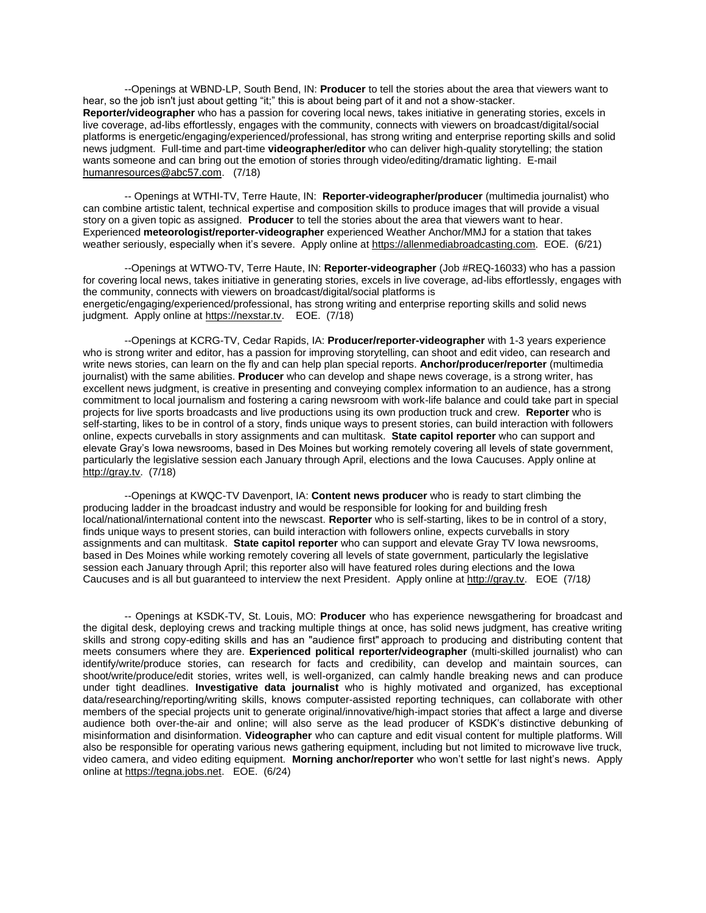--Openings at WBND-LP, South Bend, IN: **Producer** to tell the stories about the area that viewers want to hear, so the job isn't just about getting "it;" this is about being part of it and not a show-stacker. **Reporter/videographer** who has a passion for covering local news, takes initiative in generating stories, excels in live coverage, ad-libs effortlessly, engages with the community, connects with viewers on broadcast/digital/social platforms is energetic/engaging/experienced/professional, has strong writing and enterprise reporting skills and solid news judgment. Full-time and part-time **videographer/editor** who can deliver high-quality storytelling; the station wants someone and can bring out the emotion of stories through video/editing/dramatic lighting. E-mail [humanresources@abc57.com.](mailto:humanresources@abc57.com) (7/18)

-- Openings at WTHI-TV, Terre Haute, IN: **Reporter-videographer/producer** (multimedia journalist) who can combine artistic talent, technical expertise and composition skills to produce images that will provide a visual story on a given topic as assigned. **Producer** to tell the stories about the area that viewers want to hear. Experienced **meteorologist/reporter-videographer** experienced Weather Anchor/MMJ for a station that takes weather seriously, especially when it's severe. Apply online a[t https://allenmediabroadcasting.com.](https://allenmediabroadcasting.com/) EOE. (6/21)

--Openings at WTWO-TV, Terre Haute, IN: **Reporter-videographer** (Job #REQ-16033) who has a passion for covering local news, takes initiative in generating stories, excels in live coverage, ad-libs effortlessly, engages with the community, connects with viewers on broadcast/digital/social platforms is energetic/engaging/experienced/professional, has strong writing and enterprise reporting skills and solid news judgment. Apply online at [https://nexstar.tv.](https://nexstar.tv/) EOE. (7/18)

--Openings at KCRG-TV, Cedar Rapids, IA: **Producer/reporter-videographer** with 1-3 years experience who is strong writer and editor, has a passion for improving storytelling, can shoot and edit video, can research and write news stories, can learn on the fly and can help plan special reports. **Anchor/producer/reporter** (multimedia journalist) with the same abilities. **Producer** who can develop and shape news coverage, is a strong writer, has excellent news judgment, is creative in presenting and conveying complex information to an audience, has a strong commitment to local journalism and fostering a caring newsroom with work-life balance and could take part in special projects for live sports broadcasts and live productions using its own production truck and crew. **Reporter** who is self-starting, likes to be in control of a story, finds unique ways to present stories, can build interaction with followers online, expects curveballs in story assignments and can multitask. **State capitol reporter** who can support and elevate Gray's Iowa newsrooms, based in Des Moines but working remotely covering all levels of state government, particularly the legislative session each January through April, elections and the Iowa Caucuses. Apply online at [http://gray.tv.](http://gray.tv/) (7/18)

--Openings at KWQC-TV Davenport, IA: **Content news producer** who is ready to start climbing the producing ladder in the broadcast industry and would be responsible for looking for and building fresh local/national/international content into the newscast. **Reporter** who is self-starting, likes to be in control of a story, finds unique ways to present stories, can build interaction with followers online, expects curveballs in story assignments and can multitask. **State capitol reporter** who can support and elevate Gray TV Iowa newsrooms, based in Des Moines while working remotely covering all levels of state government, particularly the legislative session each January through April; this reporter also will have featured roles during elections and the Iowa Caucuses and is all but guaranteed to interview the next President. Apply online at [http://gray.tv.](http://gray.tv/) EOE (7/18*)*

-- Openings at KSDK-TV, St. Louis, MO: **Producer** who has experience newsgathering for broadcast and the digital desk, deploying crews and tracking multiple things at once, has solid news judgment, has creative writing skills and strong copy-editing skills and has an "audience first" approach to producing and distributing content that meets consumers where they are. **Experienced political reporter/videographer** (multi-skilled journalist) who can identify/write/produce stories, can research for facts and credibility, can develop and maintain sources, can shoot/write/produce/edit stories, writes well, is well-organized, can calmly handle breaking news and can produce under tight deadlines. **Investigative data journalist** who is highly motivated and organized, has exceptional data/researching/reporting/writing skills, knows computer-assisted reporting techniques, can collaborate with other members of the special projects unit to generate original/innovative/high-impact stories that affect a large and diverse audience both over-the-air and online; will also serve as the lead producer of KSDK's distinctive debunking of misinformation and disinformation. **Videographer** who can capture and edit visual content for multiple platforms. Will also be responsible for operating various news gathering equipment, including but not limited to microwave live truck, video camera, and video editing equipment. **Morning anchor/reporter** who won't settle for last night's news. Apply online a[t https://tegna.jobs.net.](https://tegna.jobs.net/) EOE. (6/24)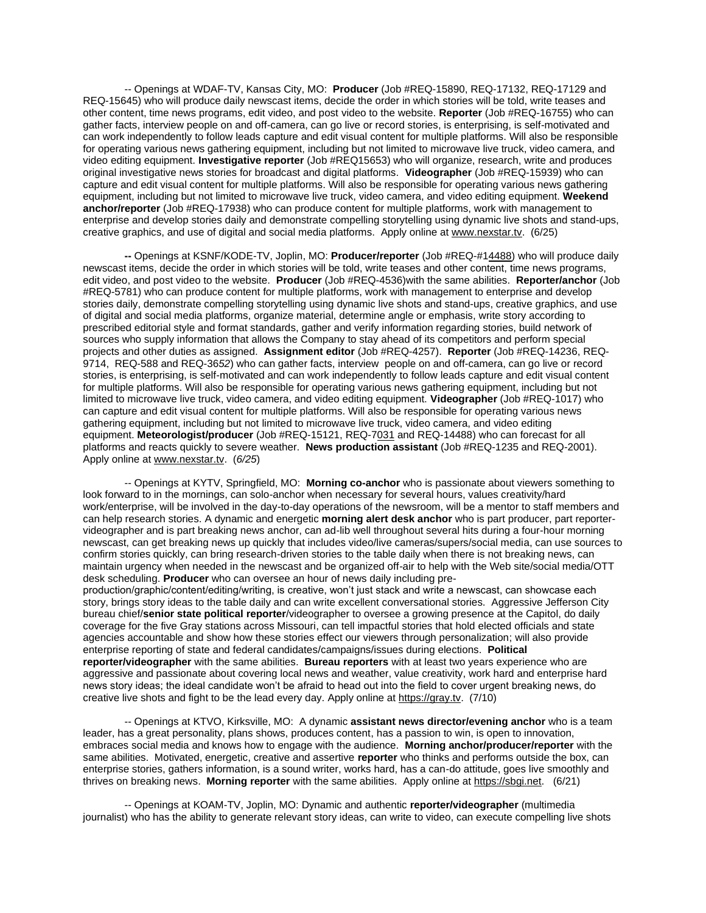-- Openings at WDAF-TV, Kansas City, MO: **Producer** (Job #REQ-15890, REQ-17132, REQ-17129 and REQ-15645) who will produce daily newscast items, decide the order in which stories will be told, write teases and other content, time news programs, edit video, and post video to the website. **Reporter** (Job #REQ-16755) who can gather facts, interview people on and off-camera, can go live or record stories, is enterprising, is self-motivated and can work independently to follow leads capture and edit visual content for multiple platforms. Will also be responsible for operating various news gathering equipment, including but not limited to microwave live truck, video camera, and video editing equipment. **Investigative reporter** (Job #REQ15653) who will organize, research, write and produces original investigative news stories for broadcast and digital platforms. **Videographer** (Job #REQ-15939) who can capture and edit visual content for multiple platforms. Will also be responsible for operating various news gathering equipment, including but not limited to microwave live truck, video camera, and video editing equipment. **Weekend anchor/reporter** (Job #REQ-17938) who can produce content for multiple platforms, work with management to enterprise and develop stories daily and demonstrate compelling storytelling using dynamic live shots and stand-ups, creative graphics, and use of digital and social media platforms. Apply online a[t www.nexstar.tv.](http://www.nexstar.tv/) (6/25)

**--** Openings at KSNF/KODE-TV, Joplin, MO: **Producer/reporter** (Job #REQ-#14488) who will produce daily newscast items, decide the order in which stories will be told, write teases and other content, time news programs, edit video, and post video to the website. **Producer** (Job #REQ-4536)with the same abilities. **Reporter/anchor** (Job #REQ-5781) who can produce content for multiple platforms, work with management to enterprise and develop stories daily, demonstrate compelling storytelling using dynamic live shots and stand-ups, creative graphics, and use of digital and social media platforms, organize material, determine angle or emphasis, write story according to prescribed editorial style and format standards, gather and verify information regarding stories, build network of sources who supply information that allows the Company to stay ahead of its competitors and perform special projects and other duties as assigned. **Assignment editor** (Job #REQ-4257). **Reporter** (Job #REQ-14236, REQ-9714, REQ-588 and REQ-36*52*) who can gather facts, interview people on and off-camera, can go live or record stories, is enterprising, is self-motivated and can work independently to follow leads capture and edit visual content for multiple platforms. Will also be responsible for operating various news gathering equipment, including but not limited to microwave live truck, video camera, and video editing equipment. **Videographer** (Job #REQ-1017) who can capture and edit visual content for multiple platforms. Will also be responsible for operating various news gathering equipment, including but not limited to microwave live truck, video camera, and video editing equipment. **Meteorologist/producer** (Job #REQ-15121, REQ-7031 and REQ-14488) who can forecast for all platforms and reacts quickly to severe weather. **News production assistant** (Job #REQ-1235 and REQ-2001). Apply online a[t www.nexstar.tv.](http://www.nexstar.tv/) (*6/25*)

-- Openings at KYTV, Springfield, MO: **Morning co-anchor** who is passionate about viewers something to look forward to in the mornings, can solo-anchor when necessary for several hours, values creativity/hard work/enterprise, will be involved in the day-to-day operations of the newsroom, will be a mentor to staff members and can help research stories. A dynamic and energetic **morning alert desk anchor** who is part producer, part reportervideographer and is part breaking news anchor, can ad-lib well throughout several hits during a four-hour morning newscast, can get breaking news up quickly that includes video/live cameras/supers/social media, can use sources to confirm stories quickly, can bring research-driven stories to the table daily when there is not breaking news, can maintain urgency when needed in the newscast and be organized off-air to help with the Web site/social media/OTT desk scheduling. **Producer** who can oversee an hour of news daily including pre-

production/graphic/content/editing/writing, is creative, won't just stack and write a newscast, can showcase each story, brings story ideas to the table daily and can write excellent conversational stories. Aggressive Jefferson City bureau chief/**senior state political reporter**/videographer to oversee a growing presence at the Capitol, do daily coverage for the five Gray stations across Missouri, can tell impactful stories that hold elected officials and state agencies accountable and show how these stories effect our viewers through personalization; will also provide enterprise reporting of state and federal candidates/campaigns/issues during elections. **Political reporter/videographer** with the same abilities. **Bureau reporters** with at least two years experience who are aggressive and passionate about covering local news and weather, value creativity, work hard and enterprise hard news story ideas; the ideal candidate won't be afraid to head out into the field to cover urgent breaking news, do creative live shots and fight to be the lead every day. Apply online a[t https://gray.tv.](https://gray.tv/) (7/10)

-- Openings at KTVO, Kirksville, MO: A dynamic **assistant news director/evening anchor** who is a team leader, has a great personality, plans shows, produces content, has a passion to win, is open to innovation, embraces social media and knows how to engage with the audience. **Morning anchor/producer/reporter** with the same abilities. Motivated, energetic, creative and assertive **reporter** who thinks and performs outside the box, can enterprise stories, gathers information, is a sound writer, works hard, has a can-do attitude, goes live smoothly and thrives on breaking news. **Morning reporter** with the same abilities. Apply online at [https://sbgi.net.](https://sbgi.net/) (6/21)

-- Openings at KOAM-TV, Joplin, MO: Dynamic and authentic **reporter/videographer** (multimedia journalist) who has the ability to generate relevant story ideas, can write to video, can execute compelling live shots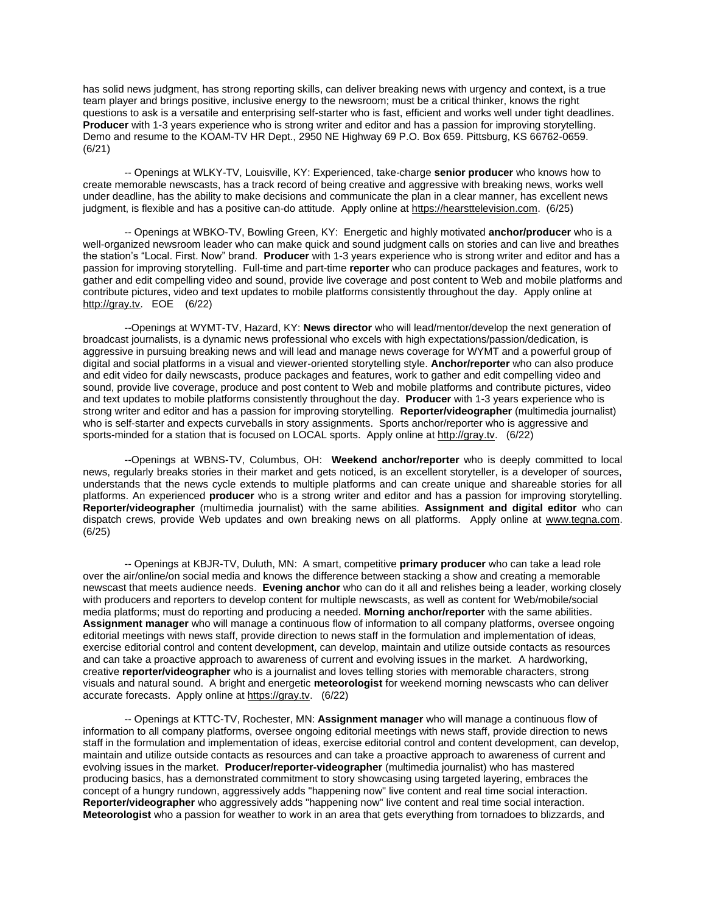has solid news judgment, has strong reporting skills, can deliver breaking news with urgency and context, is a true team player and brings positive, inclusive energy to the newsroom; must be a critical thinker, knows the right questions to ask is a versatile and enterprising self-starter who is fast, efficient and works well under tight deadlines. **Producer** with 1-3 years experience who is strong writer and editor and has a passion for improving storytelling. Demo and resume to the KOAM-TV HR Dept., 2950 NE Highway 69 P.O. Box 659. Pittsburg, KS 66762-0659. (6/21)

-- Openings at WLKY-TV, Louisville, KY: Experienced, take-charge **senior producer** who knows how to create memorable newscasts, has a track record of being creative and aggressive with breaking news, works well under deadline, has the ability to make decisions and communicate the plan in a clear manner, has excellent news judgment, is flexible and has a positive can-do attitude. Apply online at [https://hearsttelevision.com.](https://hearsttelevision.com/) (6/25)

-- Openings at WBKO-TV, Bowling Green, KY: Energetic and highly motivated **anchor/producer** who is a well-organized newsroom leader who can make quick and sound judgment calls on stories and can live and breathes the station's "Local. First. Now" brand. **Producer** with 1-3 years experience who is strong writer and editor and has a passion for improving storytelling. Full-time and part-time **reporter** who can produce packages and features, work to gather and edit compelling video and sound, provide live coverage and post content to Web and mobile platforms and contribute pictures, video and text updates to mobile platforms consistently throughout the day. Apply online at [http://gray.tv.](http://gray.tv/) EOE (6/22)

--Openings at WYMT-TV, Hazard, KY: **News director** who will lead/mentor/develop the next generation of broadcast journalists, is a dynamic news professional who excels with high expectations/passion/dedication, is aggressive in pursuing breaking news and will lead and manage news coverage for WYMT and a powerful group of digital and social platforms in a visual and viewer-oriented storytelling style. **Anchor/reporter** who can also produce and edit video for daily newscasts, produce packages and features, work to gather and edit compelling video and sound, provide live coverage, produce and post content to Web and mobile platforms and contribute pictures, video and text updates to mobile platforms consistently throughout the day. **Producer** with 1-3 years experience who is strong writer and editor and has a passion for improving storytelling. **Reporter/videographer** (multimedia journalist) who is self-starter and expects curveballs in story assignments. Sports anchor/reporter who is aggressive and sports-minded for a station that is focused on LOCAL sports. Apply online a[t http://gray.tv.](http://gray.tv/) (6/22)

--Openings at WBNS-TV, Columbus, OH: **Weekend anchor/reporter** who is deeply committed to local news, regularly breaks stories in their market and gets noticed, is an excellent storyteller, is a developer of sources, understands that the news cycle extends to multiple platforms and can create unique and shareable stories for all platforms. An experienced **producer** who is a strong writer and editor and has a passion for improving storytelling. **Reporter/videographer** (multimedia journalist) with the same abilities. **Assignment and digital editor** who can dispatch crews, provide Web updates and own breaking news on all platforms. Apply online at [www.tegna.com.](http://www.tegna.com/) (6/25)

-- Openings at KBJR-TV, Duluth, MN: A smart, competitive **primary producer** who can take a lead role over the air/online/on social media and knows the difference between stacking a show and creating a memorable newscast that meets audience needs. **Evening anchor** who can do it all and relishes being a leader, working closely with producers and reporters to develop content for multiple newscasts, as well as content for Web/mobile/social media platforms; must do reporting and producing a needed. **Morning anchor/reporter** with the same abilities. **Assignment manager** who will manage a continuous flow of information to all company platforms, oversee ongoing editorial meetings with news staff, provide direction to news staff in the formulation and implementation of ideas, exercise editorial control and content development, can develop, maintain and utilize outside contacts as resources and can take a proactive approach to awareness of current and evolving issues in the market. A hardworking, creative **reporter/videographer** who is a journalist and loves telling stories with memorable characters, strong visuals and natural sound. A bright and energetic **meteorologist** for weekend morning newscasts who can deliver accurate forecasts. Apply online a[t https://gray.tv.](https://gray.tv/) (6/22)

-- Openings at KTTC-TV, Rochester, MN: **Assignment manager** who will manage a continuous flow of information to all company platforms, oversee ongoing editorial meetings with news staff, provide direction to news staff in the formulation and implementation of ideas, exercise editorial control and content development, can develop, maintain and utilize outside contacts as resources and can take a proactive approach to awareness of current and evolving issues in the market. **Producer/reporter-videographer** (multimedia journalist) who has mastered producing basics, has a demonstrated commitment to story showcasing using targeted layering, embraces the concept of a hungry rundown, aggressively adds "happening now" live content and real time social interaction. **Reporter/videographer** who aggressively adds "happening now" live content and real time social interaction. **Meteorologist** who a passion for weather to work in an area that gets everything from tornadoes to blizzards, and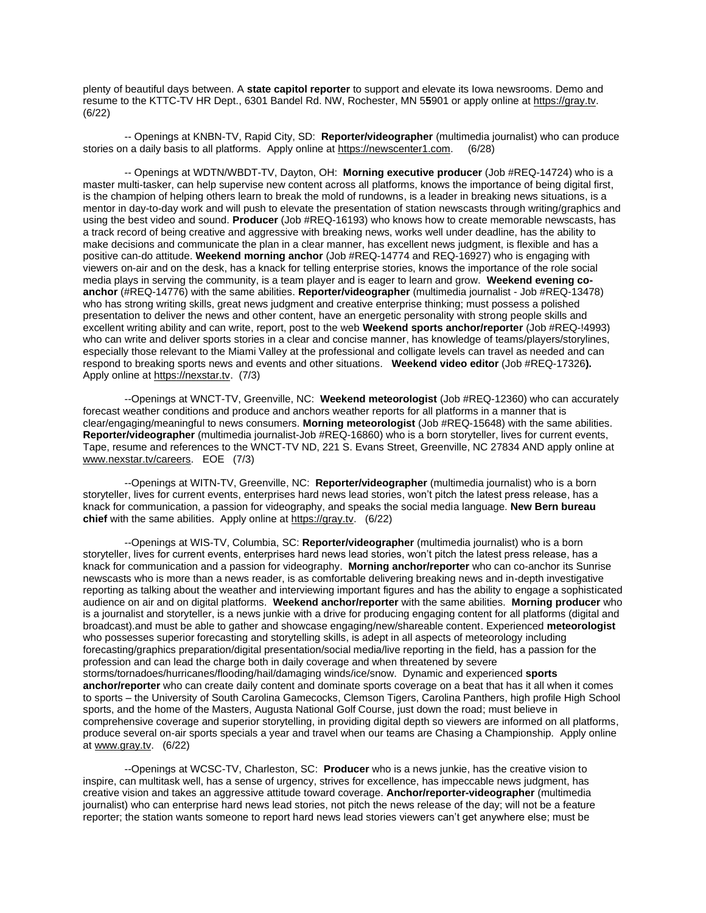plenty of beautiful days between. A **state capitol reporter** to support and elevate its Iowa newsrooms. Demo and resume to the KTTC-TV HR Dept., 6301 Bandel Rd. NW, Rochester, MN 5**5**901 or apply online a[t https://gray.tv.](https://gray.tv/) (6/22)

-- Openings at KNBN-TV, Rapid City, SD: **Reporter/videographer** (multimedia journalist) who can produce stories on a daily basis to all platforms. Apply online at [https://newscenter1.com.](https://newscenter1.com/) (6/28)

-- Openings at WDTN/WBDT-TV, Dayton, OH: **Morning executive producer** (Job #REQ-14724) who is a master multi-tasker, can help supervise new content across all platforms, knows the importance of being digital first, is the champion of helping others learn to break the mold of rundowns, is a leader in breaking news situations, is a mentor in day-to-day work and will push to elevate the presentation of station newscasts through writing/graphics and using the best video and sound. **Producer** (Job #REQ-16193) who knows how to create memorable newscasts, has a track record of being creative and aggressive with breaking news, works well under deadline, has the ability to make decisions and communicate the plan in a clear manner, has excellent news judgment, is flexible and has a positive can-do attitude. **Weekend morning anchor** (Job #REQ-14774 and REQ-16927) who is engaging with viewers on-air and on the desk, has a knack for telling enterprise stories, knows the importance of the role social media plays in serving the community, is a team player and is eager to learn and grow. **Weekend evening coanchor** (#REQ-14776) with the same abilities. **Reporter/videographer** (multimedia journalist - Job #REQ-13478) who has strong writing skills, great news judgment and creative enterprise thinking; must possess a polished presentation to deliver the news and other content, have an energetic personality with strong people skills and excellent writing ability and can write, report, post to the web **Weekend sports anchor/reporter** (Job #REQ-!4993) who can write and deliver sports stories in a clear and concise manner, has knowledge of teams/players/storylines, especially those relevant to the Miami Valley at the professional and colligate levels can travel as needed and can respond to breaking sports news and events and other situations. **Weekend video editor** (Job #REQ-17326**).** Apply online a[t https://nexstar.tv.](https://nexstar.tv/) (7/3)

--Openings at WNCT-TV, Greenville, NC: **Weekend meteorologist** (Job #REQ-12360) who can accurately forecast weather conditions and produce and anchors weather reports for all platforms in a manner that is clear/engaging/meaningful to news consumers. **Morning meteorologist** (Job #REQ-15648) with the same abilities. **Reporter/videographer** (multimedia journalist-Job #REQ-16860) who is a born storyteller, lives for current events, Tape, resume and references to the WNCT-TV ND, 221 S. Evans Street, Greenville, NC 27834 AND apply online at [www.](http://www.mediageneral.com/careers)[nexstar.tv/careers.](http://nexstar.tv/careers) EOE (7/3)

--Openings at WITN-TV, Greenville, NC: **Reporter/videographer** (multimedia journalist) who is a born storyteller, lives for current events, enterprises hard news lead stories, won't pitch the latest press release, has a knack for communication, a passion for videography, and speaks the social media language. **New Bern bureau chief** with the same abilities. Apply online a[t https://gray.tv.](https://gray.tv/) (6/22)

--Openings at WIS-TV, Columbia, SC: **Reporter/videographer** (multimedia journalist) who is a born storyteller, lives for current events, enterprises hard news lead stories, won't pitch the latest press release, has a knack for communication and a passion for videography. **Morning anchor/reporter** who can co-anchor its Sunrise newscasts who is more than a news reader, is as comfortable delivering breaking news and in-depth investigative reporting as talking about the weather and interviewing important figures and has the ability to engage a sophisticated audience on air and on digital platforms. **Weekend anchor/reporter** with the same abilities. **Morning producer** who is a journalist and storyteller, is a news junkie with a drive for producing engaging content for all platforms (digital and broadcast).and must be able to gather and showcase engaging/new/shareable content. Experienced **meteorologist** who possesses superior forecasting and storytelling skills, is adept in all aspects of meteorology including forecasting/graphics preparation/digital presentation/social media/live reporting in the field, has a passion for the profession and can lead the charge both in daily coverage and when threatened by severe storms/tornadoes/hurricanes/flooding/hail/damaging winds/ice/snow. Dynamic and experienced **sports anchor/reporter** who can create daily content and dominate sports coverage on a beat that has it all when it comes to sports – the University of South Carolina Gamecocks, Clemson Tigers, Carolina Panthers, high profile High School sports, and the home of the Masters, Augusta National Golf Course, just down the road; must believe in comprehensive coverage and superior storytelling, in providing digital depth so viewers are informed on all platforms, produce several on-air sports specials a year and travel when our teams are Chasing a Championship. Apply online at [www.gray.tv.](http://www.gray.tv/) (6/22)

--Openings at WCSC-TV, Charleston, SC: **Producer** who is a news junkie, has the creative vision to inspire, can multitask well, has a sense of urgency, strives for excellence, has impeccable news judgment, has creative vision and takes an aggressive attitude toward coverage. **Anchor/reporter-videographer** (multimedia journalist) who can enterprise hard news lead stories, not pitch the news release of the day; will not be a feature reporter; the station wants someone to report hard news lead stories viewers can't get anywhere else; must be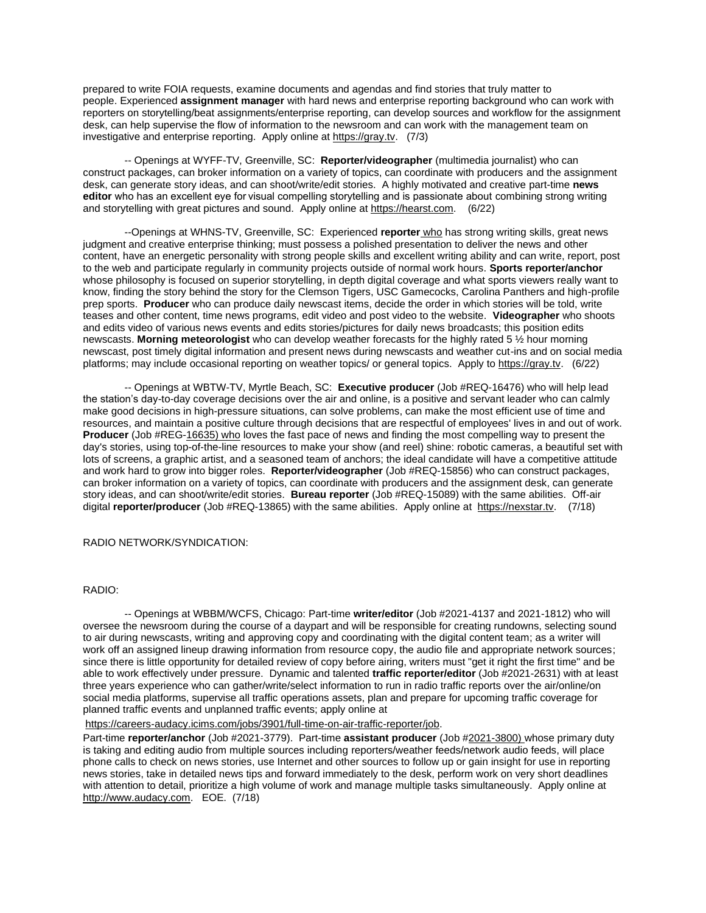prepared to write FOIA requests, examine documents and agendas and find stories that truly matter to people. Experienced **assignment manager** with hard news and enterprise reporting background who can work with reporters on storytelling/beat assignments/enterprise reporting, can develop sources and workflow for the assignment desk, can help supervise the flow of information to the newsroom and can work with the management team on investigative and enterprise reporting. Apply online a[t https://gray.tv.](https://gray.tv/) (7/3)

-- Openings at WYFF-TV, Greenville, SC: **Reporter/videographer** (multimedia journalist) who can construct packages, can broker information on a variety of topics, can coordinate with producers and the assignment desk, can generate story ideas, and can shoot/write/edit stories. A highly motivated and creative part-time **news editor** who has an excellent eye for visual compelling storytelling and is passionate about combining strong writing and storytelling with great pictures and sound. Apply online a[t https://hearst.com.](https://hearst.com/) (6/22)

--Openings at WHNS-TV, Greenville, SC: Experienced **reporter** who has strong writing skills, great news judgment and creative enterprise thinking; must possess a polished presentation to deliver the news and other content, have an energetic personality with strong people skills and excellent writing ability and can write, report, post to the web and participate regularly in community projects outside of normal work hours. **Sports reporter/anchor** whose philosophy is focused on superior storytelling, in depth digital coverage and what sports viewers really want to know, finding the story behind the story for the Clemson Tigers, USC Gamecocks, Carolina Panthers and high-profile prep sports. **Producer** who can produce daily newscast items, decide the order in which stories will be told, write teases and other content, time news programs, edit video and post video to the website. **Videographer** who shoots and edits video of various news events and edits stories/pictures for daily news broadcasts; this position edits newscasts. **Morning meteorologist** who can develop weather forecasts for the highly rated 5 ½ hour morning newscast, post timely digital information and present news during newscasts and weather cut-ins and on social media platforms; may include occasional reporting on weather topics/ or general topics. Apply to [https://gray.tv.](https://gray.tv/) (6/22)

-- Openings at WBTW-TV, Myrtle Beach, SC: **Executive producer** (Job #REQ-16476) who will help lead the station's day-to-day coverage decisions over the air and online, is a positive and servant leader who can calmly make good decisions in high-pressure situations, can solve problems, can make the most efficient use of time and resources, and maintain a positive culture through decisions that are respectful of employees' lives in and out of work. **Producer** (Job #REG-16635) who loves the fast pace of news and finding the most compelling way to present the day's stories, using top-of-the-line resources to make your show (and reel) shine: robotic cameras, a beautiful set with lots of screens, a graphic artist, and a seasoned team of anchors; the ideal candidate will have a competitive attitude and work hard to grow into bigger roles. **Reporter/videographer** (Job #REQ-15856) who can construct packages, can broker information on a variety of topics, can coordinate with producers and the assignment desk, can generate story ideas, and can shoot/write/edit stories. **Bureau reporter** (Job #REQ-15089) with the same abilities. Off-air digital **reporter/producer** (Job #REQ-13865) with the same abilities. Apply online at [https://nexstar.tv.](https://nexstar.tv/) (7/18)

# RADIO NETWORK/SYNDICATION:

# RADIO:

-- Openings at WBBM/WCFS, Chicago: Part-time **writer/editor** (Job #2021-4137 and 2021-1812) who will oversee the newsroom during the course of a daypart and will be responsible for creating rundowns, selecting sound to air during newscasts, writing and approving copy and coordinating with the digital content team; as a writer will work off an assigned lineup drawing information from resource copy, the audio file and appropriate network sources; since there is little opportunity for detailed review of copy before airing, writers must "get it right the first time" and be able to work effectively under pressure. Dynamic and talented **traffic reporter/editor** (Job #2021-2631) with at least three years experience who can gather/write/select information to run in radio traffic reports over the air/online/on social media platforms, supervise all traffic operations assets, plan and prepare for upcoming traffic coverage for planned traffic events and unplanned traffic events; apply online at

[https://careers-audacy.icims.com/jobs/3901/full-time-on-air-traffic-reporter/job.](https://careers-audacy.icims.com/jobs/3901/full-time-on-air-traffic-reporter/job)

Part-time **reporter/anchor** (Job #2021-3779). Part-time **assistant producer** (Job #2021-3800) whose primary duty is taking and editing audio from multiple sources including reporters/weather feeds/network audio feeds, will place phone calls to check on news stories, use Internet and other sources to follow up or gain insight for use in reporting news stories, take in detailed news tips and forward immediately to the desk, perform work on very short deadlines with attention to detail, prioritize a high volume of work and manage multiple tasks simultaneously. Apply online at [http://www.audacy.com.](http://www.audacy.com/) EOE. (7/18)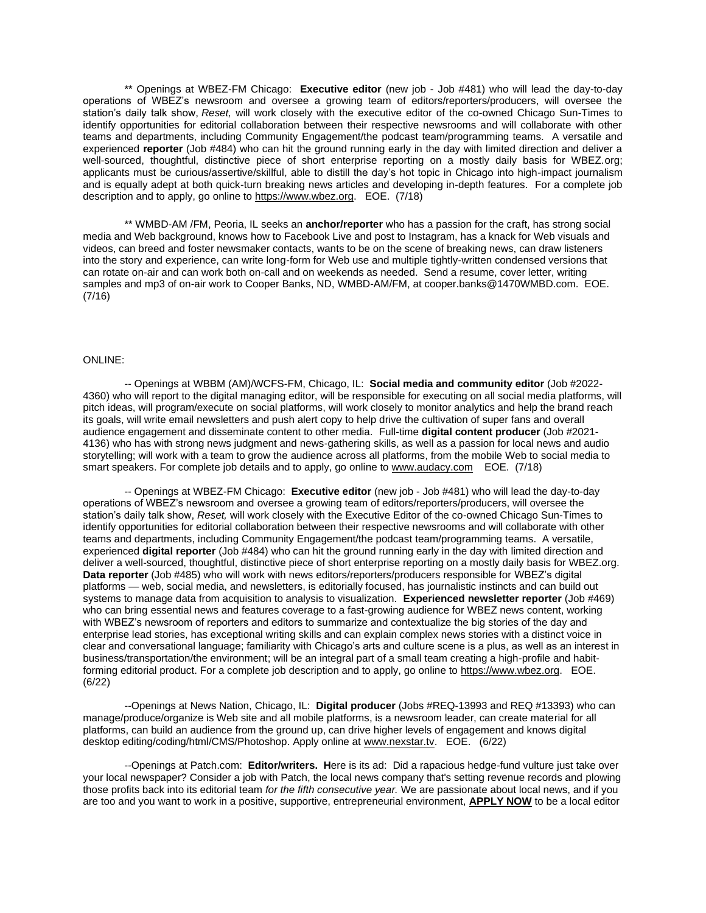\*\* Openings at WBEZ-FM Chicago: **Executive editor** (new job - Job #481) who will lead the day-to-day operations of WBEZ's newsroom and oversee a growing team of editors/reporters/producers, will oversee the station's daily talk show, *Reset,* will work closely with the executive editor of the co-owned Chicago Sun-Times to identify opportunities for editorial collaboration between their respective newsrooms and will collaborate with other teams and departments, including Community Engagement/the podcast team/programming teams. A versatile and experienced **reporter** (Job #484) who can hit the ground running early in the day with limited direction and deliver a well-sourced, thoughtful, distinctive piece of short enterprise reporting on a mostly daily basis for WBEZ.org; applicants must be curious/assertive/skillful, able to distill the day's hot topic in Chicago into high-impact journalism and is equally adept at both quick-turn breaking news articles and developing in-depth features. For a complete job description and to apply, go online to [https://www.wbez.org.](https://www.wbez.org/) EOE. (7/18)

\*\* WMBD-AM /FM, Peoria, IL seeks an **anchor/reporter** who has a passion for the craft, has strong social media and Web background, knows how to Facebook Live and post to Instagram, has a knack for Web visuals and videos, can breed and foster newsmaker contacts, wants to be on the scene of breaking news, can draw listeners into the story and experience, can write long-form for Web use and multiple tightly-written condensed versions that can rotate on-air and can work both on-call and on weekends as needed. Send a resume, cover letter, writing samples and mp3 of on-air work to Cooper Banks, ND, WMBD-AM/FM, at cooper.banks@1470WMBD.com. EOE. (7/16)

## ONLINE:

-- Openings at WBBM (AM)/WCFS-FM, Chicago, IL: **Social media and community editor** (Job #2022- 4360) who will report to the digital managing editor, will be responsible for executing on all social media platforms, will pitch ideas, will program/execute on social platforms, will work closely to monitor analytics and help the brand reach its goals, will write email newsletters and push alert copy to help drive the cultivation of super fans and overall audience engagement and disseminate content to other media. Full-time **digital content producer** (Job #2021- 4136) who has with strong news judgment and news-gathering skills, as well as a passion for local news and audio storytelling; will work with a team to grow the audience across all platforms, from the mobile Web to social media to smart speakers. For complete job details and to apply, go online t[o www.audacy.com](http://www.audacy.com/) EOE. (7/18)

-- Openings at WBEZ-FM Chicago: **Executive editor** (new job - Job #481) who will lead the day-to-day operations of WBEZ's newsroom and oversee a growing team of editors/reporters/producers, will oversee the station's daily talk show, *Reset,* will work closely with the Executive Editor of the co-owned Chicago Sun-Times to identify opportunities for editorial collaboration between their respective newsrooms and will collaborate with other teams and departments, including Community Engagement/the podcast team/programming teams. A versatile, experienced **digital reporter** (Job #484) who can hit the ground running early in the day with limited direction and deliver a well-sourced, thoughtful, distinctive piece of short enterprise reporting on a mostly daily basis for WBEZ.org. **Data reporter** (Job #485) who will work with news editors/reporters/producers responsible for WBEZ's digital platforms — web, social media, and newsletters, is editorially focused, has journalistic instincts and can build out systems to manage data from acquisition to analysis to visualization. **Experienced newsletter reporter** (Job #469) who can bring essential news and features coverage to a fast-growing audience for WBEZ news content, working with WBEZ's newsroom of reporters and editors to summarize and contextualize the big stories of the day and enterprise lead stories, has exceptional writing skills and can explain complex news stories with a distinct voice in clear and conversational language; familiarity with Chicago's arts and culture scene is a plus, as well as an interest in business/transportation/the environment; will be an integral part of a small team creating a high-profile and habitforming editorial product. For a complete job description and to apply, go online to [https://www.wbez.org.](https://www.wbez.org/) EOE. (6/22)

--Openings at News Nation, Chicago, IL: **Digital producer** (Jobs #REQ-13993 and REQ #13393) who can manage/produce/organize is Web site and all mobile platforms, is a newsroom leader, can create material for all platforms, can build an audience from the ground up, can drive higher levels of engagement and knows digital desktop editing/coding/html/CMS/Photoshop. Apply online at [www.nexstar.tv.](http://www.nexstar.tv/) EOE. (6/22)

--Openings at Patch.com: **Editor/writers. H**ere is its ad: Did a rapacious hedge-fund vulture just take over your local newspaper? Consider a job with Patch, the local news company that's setting revenue records and plowing those profits back into its editorial team *for the fifth consecutive year.* We are passionate about local news, and if you are too and you want to work in a positive, supportive, entrepreneurial environment, **[APPLY NOW](https://www.we-are-patch.com/apply/)** to be a local editor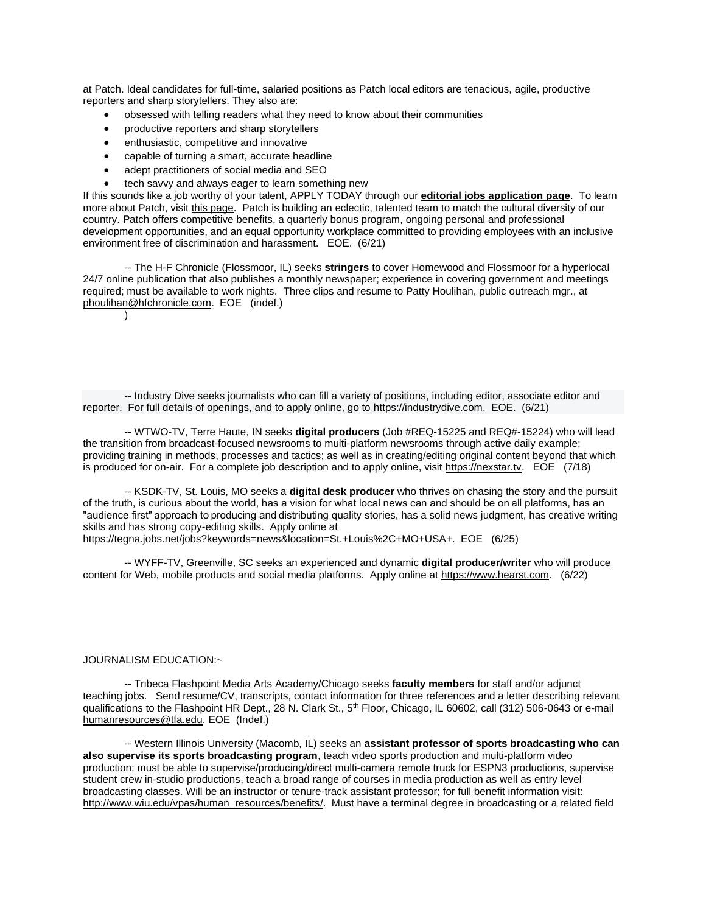at Patch. Ideal candidates for full-time, salaried positions as Patch local editors are tenacious, agile, productive reporters and sharp storytellers. They also are:

- obsessed with telling readers what they need to know about their communities
- productive reporters and sharp storytellers
- enthusiastic, competitive and innovative
- capable of turning a smart, accurate headline
- adept practitioners of social media and SEO
- tech savvy and always eager to learn something new

If this sounds like a job worthy of your talent, APPLY TODAY through our **[editorial jobs application page](https://www.we-are-patch.com/apply/)**. To learn more about Patch, visit [this page.](https://www.we-are-patch.com/join-our-team/) Patch is building an eclectic, talented team to match the cultural diversity of our country. Patch offers competitive benefits, a quarterly bonus program, ongoing personal and professional development opportunities, and an equal opportunity workplace committed to providing employees with an inclusive environment free of discrimination and harassment. EOE. (6/21)

-- The H-F Chronicle (Flossmoor, IL) seeks **stringers** to cover Homewood and Flossmoor for a hyperlocal 24/7 online publication that also publishes a monthly newspaper; experience in covering government and meetings required; must be available to work nights. Three clips and resume to Patty Houlihan, public outreach mgr., at [phoulihan@hfchronicle.com.](mailto:phoulihan@hfchronicle.com) EOE (indef.)

)

-- Industry Dive seeks journalists who can fill a variety of positions, including editor, associate editor and reporter. For full details of openings, and to apply online, go to [https://industrydive.com.](https://industrydive.com/) EOE. (6/21)

-- WTWO-TV, Terre Haute, IN seeks **digital producers** (Job #REQ-15225 and REQ#-15224) who will lead the transition from broadcast-focused newsrooms to multi-platform newsrooms through active daily example; providing training in methods, processes and tactics; as well as in creating/editing original content beyond that which is produced for on-air. For a complete job description and to apply online, visit [https://nexstar.tv.](https://nexstar.tv/) EOE (7/18)

-- KSDK-TV, St. Louis, MO seeks a **digital desk producer** who thrives on chasing the story and the pursuit of the truth, is curious about the world, has a vision for what local news can and should be on all platforms, has an "audience first" approach to producing and distributing quality stories, has a solid news judgment, has creative writing skills and has strong copy-editing skills. Apply online at [https://tegna.jobs.net/jobs?keywords=news&location=St.+Louis%2C+MO+USA+](https://tegna.jobs.net/jobs?keywords=news&location=St.+Louis%2C+MO+USA). EOE (6/25)

-- WYFF-TV, Greenville, SC seeks an experienced and dynamic **digital producer/writer** who will produce content for Web, mobile products and social media platforms. Apply online a[t https://www.hearst.com.](https://www.hearst.com/) (6/22)

## JOURNALISM EDUCATION:~

-- Tribeca Flashpoint Media Arts Academy/Chicago seeks **faculty members** for staff and/or adjunct teaching jobs. Send resume/CV, transcripts, contact information for three references and a letter describing relevant qualifications to the Flashpoint HR Dept., 28 N. Clark St., 5<sup>th</sup> Floor, Chicago, IL 60602, call (312) 506-0643 or e-mail [humanresources@tfa.edu.](mailto:humanresources@tfa.edu) EOE (Indef.)

-- Western Illinois University (Macomb, IL) seeks an **assistant professor of sports broadcasting who can also supervise its sports broadcasting program**, teach video sports production and multi-platform video production; must be able to supervise/producing/direct multi-camera remote truck for ESPN3 productions, supervise student crew in-studio productions, teach a broad range of courses in media production as well as entry level broadcasting classes. Will be an instructor or tenure-track assistant professor; for full benefit information visit: [http://www.wiu.edu/vpas/human\\_resources/benefits/.](http://www.wiu.edu/vpas/human_resources/benefits/) Must have a terminal degree in broadcasting or a related field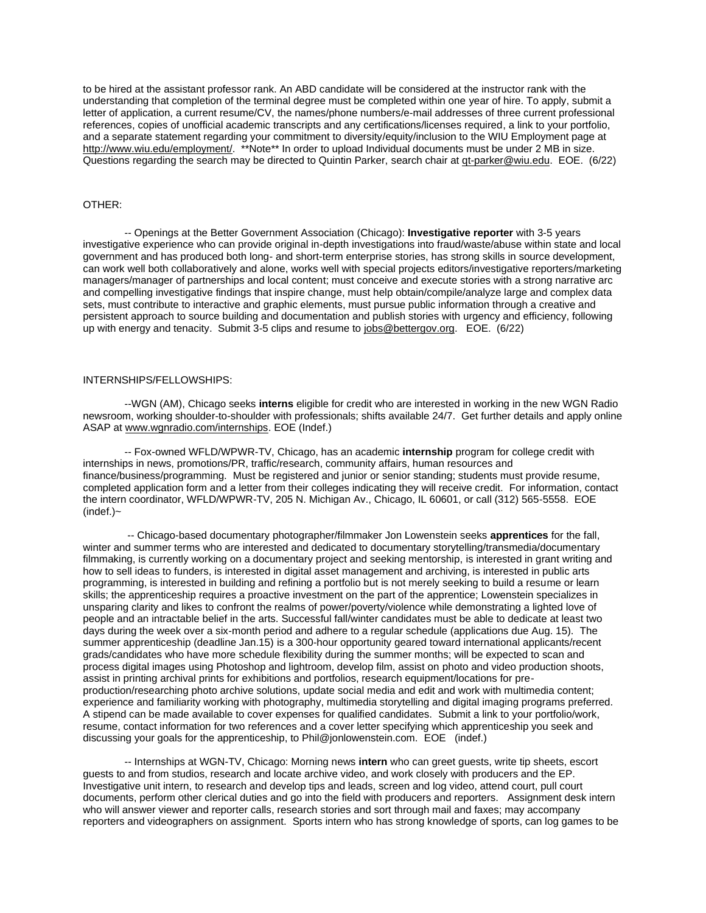to be hired at the assistant professor rank. An ABD candidate will be considered at the instructor rank with the understanding that completion of the terminal degree must be completed within one year of hire. To apply, submit a letter of application, a current resume/CV, the names/phone numbers/e-mail addresses of three current professional references, copies of unofficial academic transcripts and any certifications/licenses required, a link to your portfolio, and a separate statement regarding your commitment to diversity/equity/inclusion to the WIU Employment page at [http://www.wiu.edu/employment/.](http://www.wiu.edu/employment/) \*\*Note\*\* In order to upload Individual documents must be under 2 MB in size. Questions regarding the search may be directed to Quintin Parker, search chair a[t qt-parker@wiu.edu.](mailto:qt-parker@wiu.edu) EOE. (6/22)

## OTHER:

-- Openings at the Better Government Association (Chicago): **Investigative reporter** with 3-5 years investigative experience who can provide original in-depth investigations into fraud/waste/abuse within state and local government and has produced both long- and short-term enterprise stories, has strong skills in source development, can work well both collaboratively and alone, works well with special projects editors/investigative reporters/marketing managers/manager of partnerships and local content; must conceive and execute stories with a strong narrative arc and compelling investigative findings that inspire change, must help obtain/compile/analyze large and complex data sets, must contribute to interactive and graphic elements, must pursue public information through a creative and persistent approach to source building and documentation and publish stories with urgency and efficiency, following up with energy and tenacity. Submit 3-5 clips and resume t[o jobs@bettergov.org.](mailto:jobs@bettergov.org) EOE. (6/22)

## INTERNSHIPS/FELLOWSHIPS:

--WGN (AM), Chicago seeks **interns** eligible for credit who are interested in working in the new WGN Radio newsroom, working shoulder-to-shoulder with professionals; shifts available 24/7. Get further details and apply online ASAP a[t www.wgnradio.com/internships.](http://www.wgnradio.com/internships) EOE (Indef.)

-- Fox-owned WFLD/WPWR-TV, Chicago, has an academic **internship** program for college credit with internships in news, promotions/PR, traffic/research, community affairs, human resources and finance/business/programming. Must be registered and junior or senior standing; students must provide resume, completed application form and a letter from their colleges indicating they will receive credit. For information, contact the intern coordinator, WFLD/WPWR-TV, 205 N. Michigan Av., Chicago, IL 60601, or call (312) 565-5558. EOE  $(indef.)\sim$ 

-- Chicago-based documentary photographer/filmmaker Jon Lowenstein seeks **apprentices** for the fall, winter and summer terms who are interested and dedicated to documentary storytelling/transmedia/documentary filmmaking, is currently working on a documentary project and seeking mentorship, is interested in grant writing and how to sell ideas to funders, is interested in digital asset management and archiving, is interested in public arts programming, is interested in building and refining a portfolio but is not merely seeking to build a resume or learn skills; the apprenticeship requires a proactive investment on the part of the apprentice; Lowenstein specializes in unsparing clarity and likes to confront the realms of power/poverty/violence while demonstrating a lighted love of people and an intractable belief in the arts. Successful fall/winter candidates must be able to dedicate at least two days during the week over a six-month period and adhere to a regular schedule (applications due Aug. 15). The summer apprenticeship (deadline Jan.15) is a 300-hour opportunity geared toward international applicants/recent grads/candidates who have more schedule flexibility during the summer months; will be expected to scan and process digital images using Photoshop and lightroom, develop film, assist on photo and video production shoots, assist in printing archival prints for exhibitions and portfolios, research equipment/locations for preproduction/researching photo archive solutions, update social media and edit and work with multimedia content; experience and familiarity working with photography, multimedia storytelling and digital imaging programs preferred. A stipend can be made available to cover expenses for qualified candidates. Submit a link to your portfolio/work, resume, contact information for two references and a cover letter specifying which apprenticeship you seek and discussing your goals for the apprenticeship, to Phil@jonlowenstein.com. EOE (indef.)

-- Internships at WGN-TV, Chicago: Morning news **intern** who can greet guests, write tip sheets, escort guests to and from studios, research and locate archive video, and work closely with producers and the EP. Investigative unit intern, to research and develop tips and leads, screen and log video, attend court, pull court documents, perform other clerical duties and go into the field with producers and reporters. Assignment desk intern who will answer viewer and reporter calls, research stories and sort through mail and faxes; may accompany reporters and videographers on assignment. Sports intern who has strong knowledge of sports, can log games to be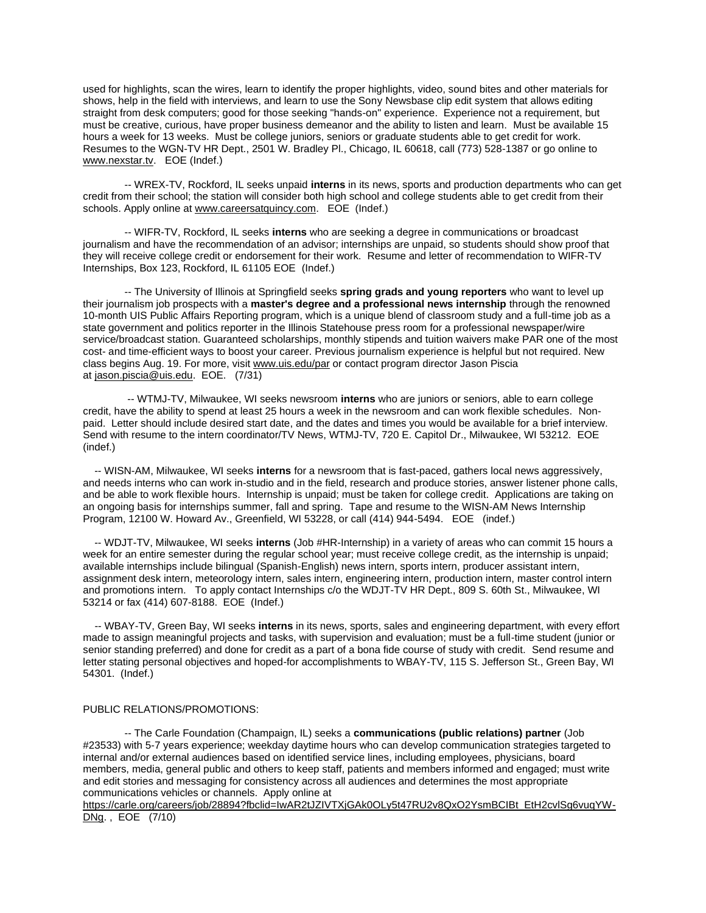used for highlights, scan the wires, learn to identify the proper highlights, video, sound bites and other materials for shows, help in the field with interviews, and learn to use the Sony Newsbase clip edit system that allows editing straight from desk computers; good for those seeking "hands-on" experience. Experience not a requirement, but must be creative, curious, have proper business demeanor and the ability to listen and learn. Must be available 15 hours a week for 13 weeks. Must be college juniors, seniors or graduate students able to get credit for work. Resumes to the WGN-TV HR Dept., 2501 W. Bradley Pl., Chicago, IL 60618, call (773) 528-1387 or go online to [www.nexstar.tv.](http://www.nexstar.tv/) EOE (Indef.)

-- WREX-TV, Rockford, IL seeks unpaid **interns** in its news, sports and production departments who can get credit from their school; the station will consider both high school and college students able to get credit from their schools. Apply online at [www.careersatquincy.com.](http://www.careersatquincy.com/) EOE (Indef.)

-- WIFR-TV, Rockford, IL seeks **interns** who are seeking a degree in communications or broadcast journalism and have the recommendation of an advisor; internships are unpaid, so students should show proof that they will receive college credit or endorsement for their work. Resume and letter of recommendation to WIFR-TV Internships, Box 123, Rockford, IL 61105 EOE (Indef.)

-- The University of Illinois at Springfield seeks **spring grads and young reporters** who want to level up their journalism job prospects with a **master's degree and a professional news internship** through the renowned 10-month UIS Public Affairs Reporting program, which is a unique blend of classroom study and a full-time job as a state government and politics reporter in the Illinois Statehouse press room for a professional newspaper/wire service/broadcast station. Guaranteed scholarships, monthly stipends and tuition waivers make PAR one of the most cost- and time-efficient ways to boost your career. Previous journalism experience is helpful but not required. New class begins Aug. 19. For more, visit [www.uis.edu/par](http://www.uis.edu/par) or contact program director Jason Piscia at [jason.piscia@uis.edu.](mailto:jason.piscia@uis.edu) EOE. (7/31)

-- WTMJ-TV, Milwaukee, WI seeks newsroom **interns** who are juniors or seniors, able to earn college credit, have the ability to spend at least 25 hours a week in the newsroom and can work flexible schedules. Nonpaid. Letter should include desired start date, and the dates and times you would be available for a brief interview. Send with resume to the intern coordinator/TV News, WTMJ-TV, 720 E. Capitol Dr., Milwaukee, WI 53212. EOE (indef.)

-- WISN-AM, Milwaukee, WI seeks **interns** for a newsroom that is fast-paced, gathers local news aggressively, and needs interns who can work in-studio and in the field, research and produce stories, answer listener phone calls, and be able to work flexible hours. Internship is unpaid; must be taken for college credit. Applications are taking on an ongoing basis for internships summer, fall and spring. Tape and resume to the WISN-AM News Internship Program, 12100 W. Howard Av., Greenfield, WI 53228, or call (414) 944-5494. EOE (indef.)

-- WDJT-TV, Milwaukee, WI seeks **interns** (Job #HR-Internship) in a variety of areas who can commit 15 hours a week for an entire semester during the regular school year; must receive college credit, as the internship is unpaid; available internships include bilingual (Spanish-English) news intern, sports intern, producer assistant intern, assignment desk intern, meteorology intern, sales intern, engineering intern, production intern, master control intern and promotions intern. To apply contact Internships c/o the WDJT-TV HR Dept., 809 S. 60th St., Milwaukee, WI 53214 or fax (414) 607-8188. EOE (Indef.)

 -- WBAY-TV, Green Bay, WI seeks **interns** in its news, sports, sales and engineering department, with every effort made to assign meaningful projects and tasks, with supervision and evaluation; must be a full-time student (junior or senior standing preferred) and done for credit as a part of a bona fide course of study with credit. Send resume and letter stating personal objectives and hoped-for accomplishments to WBAY-TV, 115 S. Jefferson St., Green Bay, WI 54301. (Indef.)

# PUBLIC RELATIONS/PROMOTIONS:

-- The Carle Foundation (Champaign, IL) seeks a **communications (public relations) partner** (Job #23533) with 5-7 years experience; weekday daytime hours who can develop communication strategies targeted to internal and/or external audiences based on identified service lines, including employees, physicians, board members, media, general public and others to keep staff, patients and members informed and engaged; must write and edit stories and messaging for consistency across all audiences and determines the most appropriate communications vehicles or channels. Apply online at

[https://carle.org/careers/job/28894?fbclid=IwAR2tJZIVTXjGAk0OLy5t47RU2v8QxO2YsmBCIBt\\_EtH2cvlSg6vuqYW-](https://carle.org/careers/job/28894?fbclid=IwAR2tJZIVTXjGAk0OLy5t47RU2v8QxO2YsmBCIBt_EtH2cvlSg6vuqYW-DNg)[DNg.](https://carle.org/careers/job/28894?fbclid=IwAR2tJZIVTXjGAk0OLy5t47RU2v8QxO2YsmBCIBt_EtH2cvlSg6vuqYW-DNg) , EOE (7/10)